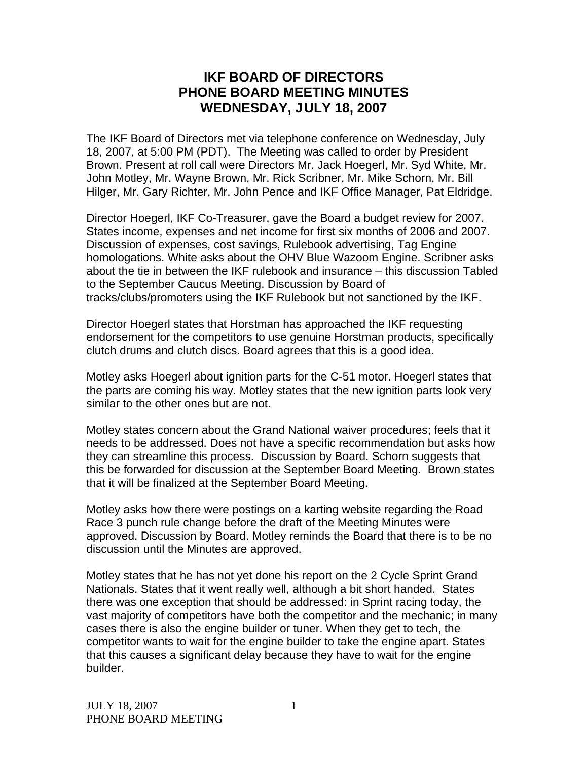## **IKF BOARD OF DIRECTORS PHONE BOARD MEETING MINUTES WEDNESDAY, J ULY 18, 2007**

The IKF Board of Directors met via telephone conference on Wednesday, July 18, 2007, at 5:00 PM (PDT). The Meeting was called to order by President Brown. Present at roll call were Directors Mr. Jack Hoegerl, Mr. Syd White, Mr. John Motley, Mr. Wayne Brown, Mr. Rick Scribner, Mr. Mike Schorn, Mr. Bill Hilger, Mr. Gary Richter, Mr. John Pence and IKF Office Manager, Pat Eldridge.

Director Hoegerl, IKF Co-Treasurer, gave the Board a budget review for 2007. States income, expenses and net income for first six months of 2006 and 2007. Discussion of expenses, cost savings, Rulebook advertising, Tag Engine homologations. White asks about the OHV Blue Wazoom Engine. Scribner asks about the tie in between the IKF rulebook and insurance – this discussion Tabled to the September Caucus Meeting. Discussion by Board of tracks/clubs/promoters using the IKF Rulebook but not sanctioned by the IKF.

Director Hoegerl states that Horstman has approached the IKF requesting endorsement for the competitors to use genuine Horstman products, specifically clutch drums and clutch discs. Board agrees that this is a good idea.

Motley asks Hoegerl about ignition parts for the C-51 motor. Hoegerl states that the parts are coming his way. Motley states that the new ignition parts look very similar to the other ones but are not.

Motley states concern about the Grand National waiver procedures; feels that it needs to be addressed. Does not have a specific recommendation but asks how they can streamline this process. Discussion by Board. Schorn suggests that this be forwarded for discussion at the September Board Meeting. Brown states that it will be finalized at the September Board Meeting.

Motley asks how there were postings on a karting website regarding the Road Race 3 punch rule change before the draft of the Meeting Minutes were approved. Discussion by Board. Motley reminds the Board that there is to be no discussion until the Minutes are approved.

Motley states that he has not yet done his report on the 2 Cycle Sprint Grand Nationals. States that it went really well, although a bit short handed. States there was one exception that should be addressed: in Sprint racing today, the vast majority of competitors have both the competitor and the mechanic; in many cases there is also the engine builder or tuner. When they get to tech, the competitor wants to wait for the engine builder to take the engine apart. States that this causes a significant delay because they have to wait for the engine builder.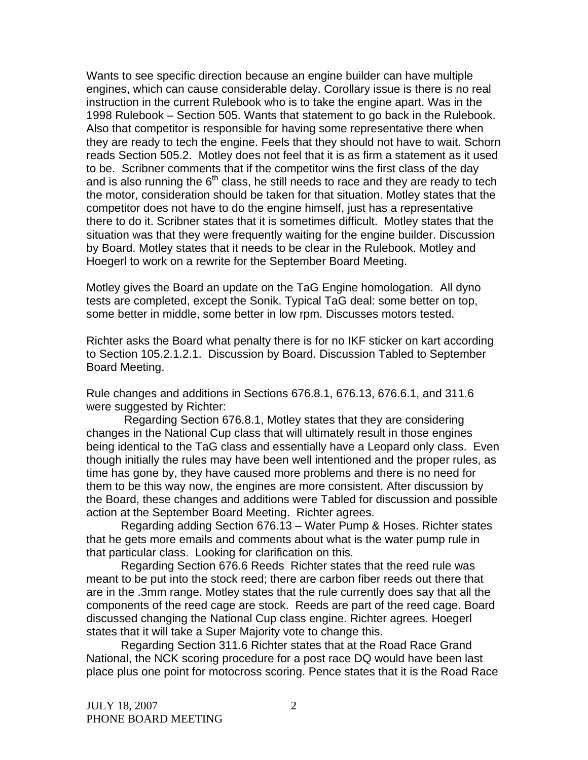Wants to see specific direction because an engine builder can have multiple engines, which can cause considerable delay. Corollary issue is there is no real instruction in the current Rulebook who is to take the engine apart. Was in the 1998 Rulebook – Section 505. Wants that statement to go back in the Rulebook. Also that competitor is responsible for having some representative there when they are ready to tech the engine. Feels that they should not have to wait. Schorn reads Section 505.2. Motley does not feel that it is as firm a statement as it used to be. Scribner comments that if the competitor wins the first class of the day and is also running the  $6<sup>th</sup>$  class, he still needs to race and they are ready to tech the motor, consideration should be taken for that situation. Motley states that the competitor does not have to do the engine himself, just has a representative there to do it. Scribner states that it is sometimes difficult. Motley states that the situation was that they were frequently waiting for the engine builder. Discussion by Board. Motley states that it needs to be clear in the Rulebook. Motley and Hoegerl to work on a rewrite for the September Board Meeting.

Motley gives the Board an update on the TaG Engine homologation. All dyno tests are completed, except the Sonik. Typical TaG deal: some better on top, some better in middle, some better in low rpm. Discusses motors tested.

Richter asks the Board what penalty there is for no IKF sticker on kart according to Section 105.2.1.2.1. Discussion by Board. Discussion Tabled to September Board Meeting.

Rule changes and additions in Sections 676.8.1, 676.13, 676.6.1, and 311.6 were suggested by Richter:

 Regarding Section 676.8.1, Motley states that they are considering changes in the National Cup class that will ultimately result in those engines being identical to the TaG class and essentially have a Leopard only class. Even though initially the rules may have been well intentioned and the proper rules, as time has gone by, they have caused more problems and there is no need for them to be this way now, the engines are more consistent. After discussion by the Board, these changes and additions were Tabled for discussion and possible action at the September Board Meeting. Richter agrees.

Regarding adding Section 676.13 – Water Pump & Hoses. Richter states that he gets more emails and comments about what is the water pump rule in that particular class. Looking for clarification on this.

Regarding Section 676.6 Reeds Richter states that the reed rule was meant to be put into the stock reed; there are carbon fiber reeds out there that are in the .3mm range. Motley states that the rule currently does say that all the components of the reed cage are stock. Reeds are part of the reed cage. Board discussed changing the National Cup class engine. Richter agrees. Hoegerl states that it will take a Super Majority vote to change this.

Regarding Section 311.6 Richter states that at the Road Race Grand National, the NCK scoring procedure for a post race DQ would have been last place plus one point for motocross scoring. Pence states that it is the Road Race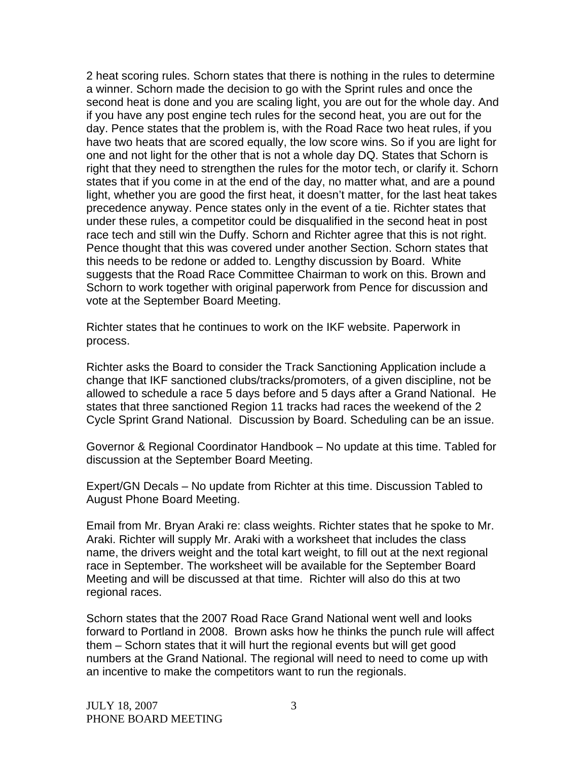2 heat scoring rules. Schorn states that there is nothing in the rules to determine a winner. Schorn made the decision to go with the Sprint rules and once the second heat is done and you are scaling light, you are out for the whole day. And if you have any post engine tech rules for the second heat, you are out for the day. Pence states that the problem is, with the Road Race two heat rules, if you have two heats that are scored equally, the low score wins. So if you are light for one and not light for the other that is not a whole day DQ. States that Schorn is right that they need to strengthen the rules for the motor tech, or clarify it. Schorn states that if you come in at the end of the day, no matter what, and are a pound light, whether you are good the first heat, it doesn't matter, for the last heat takes precedence anyway. Pence states only in the event of a tie. Richter states that under these rules, a competitor could be disqualified in the second heat in post race tech and still win the Duffy. Schorn and Richter agree that this is not right. Pence thought that this was covered under another Section. Schorn states that this needs to be redone or added to. Lengthy discussion by Board. White suggests that the Road Race Committee Chairman to work on this. Brown and Schorn to work together with original paperwork from Pence for discussion and vote at the September Board Meeting.

Richter states that he continues to work on the IKF website. Paperwork in process.

Richter asks the Board to consider the Track Sanctioning Application include a change that IKF sanctioned clubs/tracks/promoters, of a given discipline, not be allowed to schedule a race 5 days before and 5 days after a Grand National. He states that three sanctioned Region 11 tracks had races the weekend of the 2 Cycle Sprint Grand National. Discussion by Board. Scheduling can be an issue.

Governor & Regional Coordinator Handbook – No update at this time. Tabled for discussion at the September Board Meeting.

Expert/GN Decals – No update from Richter at this time. Discussion Tabled to August Phone Board Meeting.

Email from Mr. Bryan Araki re: class weights. Richter states that he spoke to Mr. Araki. Richter will supply Mr. Araki with a worksheet that includes the class name, the drivers weight and the total kart weight, to fill out at the next regional race in September. The worksheet will be available for the September Board Meeting and will be discussed at that time. Richter will also do this at two regional races.

Schorn states that the 2007 Road Race Grand National went well and looks forward to Portland in 2008. Brown asks how he thinks the punch rule will affect them – Schorn states that it will hurt the regional events but will get good numbers at the Grand National. The regional will need to need to come up with an incentive to make the competitors want to run the regionals.